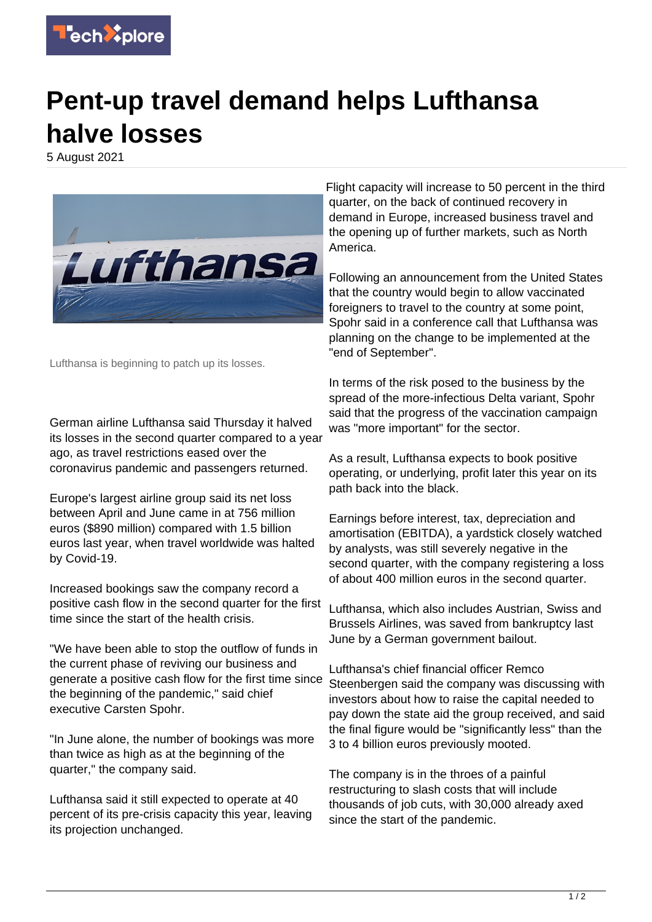

## **Pent-up travel demand helps Lufthansa halve losses**

5 August 2021



Lufthansa is beginning to patch up its losses.

German airline Lufthansa said Thursday it halved its losses in the second quarter compared to a year ago, as travel restrictions eased over the coronavirus pandemic and passengers returned.

Europe's largest airline group said its net loss between April and June came in at 756 million euros (\$890 million) compared with 1.5 billion euros last year, when travel worldwide was halted by Covid-19.

Increased bookings saw the company record a positive cash flow in the second quarter for the first time since the start of the health crisis.

"We have been able to stop the outflow of funds in the current phase of reviving our business and generate a positive cash flow for the first time since the beginning of the pandemic," said chief executive Carsten Spohr.

"In June alone, the number of bookings was more than twice as high as at the beginning of the quarter," the company said.

Lufthansa said it still expected to operate at 40 percent of its pre-crisis capacity this year, leaving its projection unchanged.

Flight capacity will increase to 50 percent in the third quarter, on the back of continued recovery in demand in Europe, increased business travel and the opening up of further markets, such as North America.

Following an announcement from the United States that the country would begin to allow vaccinated foreigners to travel to the country at some point, Spohr said in a conference call that Lufthansa was planning on the change to be implemented at the "end of September".

In terms of the risk posed to the business by the spread of the more-infectious Delta variant, Spohr said that the progress of the vaccination campaign was "more important" for the sector.

As a result, Lufthansa expects to book positive operating, or underlying, profit later this year on its path back into the black.

Earnings before interest, tax, depreciation and amortisation (EBITDA), a yardstick closely watched by analysts, was still severely negative in the second quarter, with the company registering a loss of about 400 million euros in the second quarter.

Lufthansa, which also includes Austrian, Swiss and Brussels Airlines, was saved from bankruptcy last June by a German government bailout.

Lufthansa's chief financial officer Remco Steenbergen said the company was discussing with investors about how to raise the capital needed to pay down the state aid the group received, and said the final figure would be "significantly less" than the 3 to 4 billion euros previously mooted.

The company is in the throes of a painful restructuring to slash costs that will include thousands of job cuts, with 30,000 already axed since the start of the pandemic.